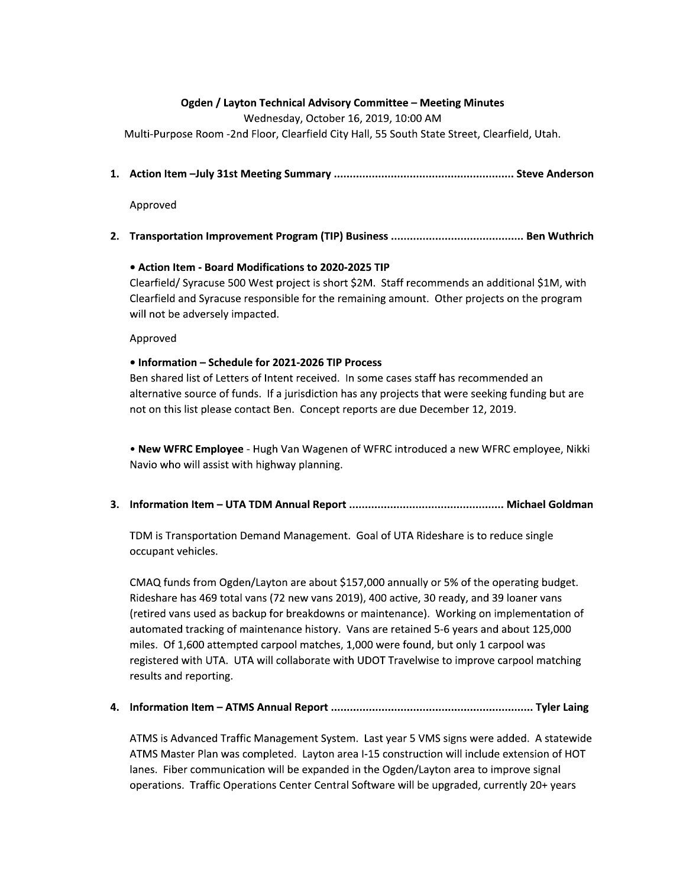## Ogden / Layton Technical Advisory Committee – Meeting Minutes

Ogden / Layton Technical Advisory Committee – Meeting Minutes<br>
Wednesday, October 16, 2019, 10:00 AM<br>
Multi-Purpose Room -2nd Floor, Clearfield City Hall, 55 South State Street, Clearfield, Utah.<br>
1. Action Item -July 31st D E FB G CCCCCCCCCCCCCCCCCCCCCCCCCCCCCCCCCCCCCCCCCCCCCCCCCCCCCCCCCG -

Approved

2. I ransportation Improvement Program (TIP) Business …………………………………………………………………… Ben Wuthrich

## $\bullet$  Action Item - Board Modifications to 2020-2025 TIP

## ion – Schedule for 2021-2026 TIP Process

:2(;32U"> (\$1"=,,"%"6(&V\$%"3"?&(%"W+0A"">%;;"(\$&88""3%3&2"W)0!"X3%?" :2(;32""> (\$1"(6&3'2";&("%?"(833Y"8&1%A""#%?("6(&V\$%"&"%?"6(&Y(8" X322"&%"'"H(2 "386\$%A"" /66(&H PDR Clearfield/ Syracuse 500 West project is short \$2M. Staff recommends an additional \$1M, with<br>Clearfield and Syracuse responsible for the remaining amount. Other projects on the program<br>will not be adversely impacted.<br>Appro

D hidJ CCCCCCCCCCCCCCCCCCCCCCCCCCCCCCCCCCCCCCCCCCCCCCCCC
j-

TDM is Transportation Demand Management. Goal of UTA Rideshare is to reduce single

&\$\$16%"H?3\$2A :0/m";1";(&8"#YU\ %&"("'&1%"W)=n!,,,"122 "&("=o"&;"%?"&6(%3Y"'1Y%A"" 73?("?"p\*-"%&%2"H"qn+"X"H"+,)-r!"p,,"\$%3H!"s,"( !""s-"2&("H" q(%3("H"1""'\$^16";&("'(^&X"&("83%\$rA""&(^3Y"&"38628%%3&"&;" 1%&8%"%(\$^3Y"&;"83%\$"?3%&( A""f"("(%3"=4\*" (""'&1%")+=!,,," 832A""#;")!\*,,"%%86%"\$(6&&2"8%\$?!")!,,,"X(";&1!"'1%"&2 ")"\$(6&&2"X" (Y3%("X3%?"@k/A""@k/"X322"\$&22'&(%"X3%?"@\_#k"k(H2X3"%&"386(&H"\$(6&&2"8%\$?3Y" (12%""(6&(%3YA tCDR

ion Item – ATMS Annual Report ………………………………………………………… Tyler Laing

ATMS is Advanced Traffic Management System. Last year 5 VMS signs were added. A statewide /k0>"0%("52"X"\$&862%A""\ %&"("]4)="\$&%(1\$%3&"X322"3\$21"u%3&"&;"<#k" 2A""93'("\$&8813\$%3&"X322"'"u6"3"%?"#YU\ %&"("%&"386(&H"3Y2" &6(%3&A""k(;;3\$"#6(%3&":%(":%(2">&;%X("X322"'"16Y(!"\$1((%2 "+,v" ("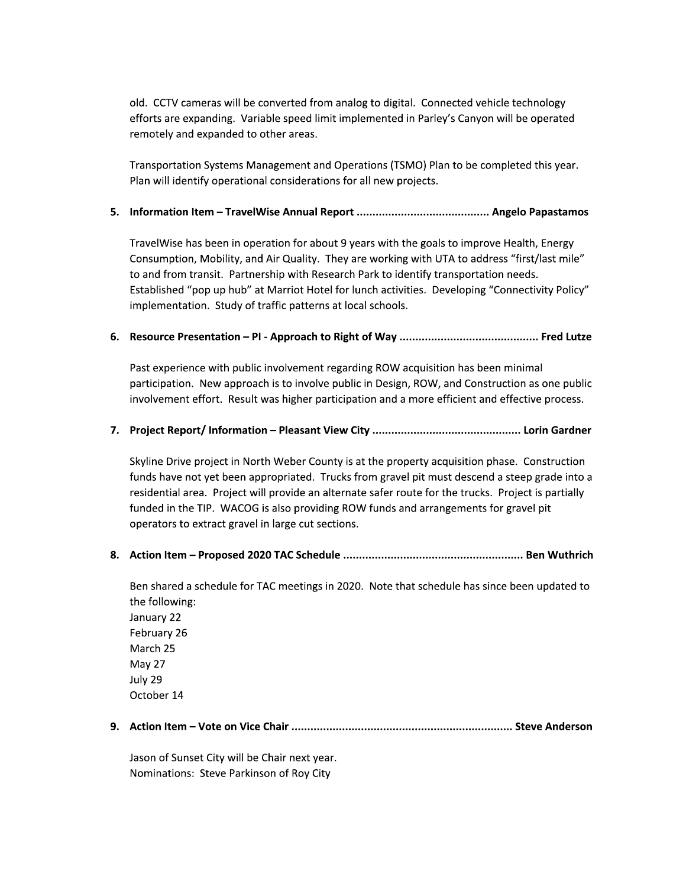old. CCTV cameras will be converted from analog to digital. Connected vehicle technology efforts are expanding. Variable speed limit implemented in Parley's Canyon will be operated remotely and expanded to other areas.

Transportation Systems Management and Operations (TSMO) Plan to be completed this year. Plan will identify operational considerations for all new projects.

#### 

TravelWise has been in operation for about 9 years with the goals to improve Health, Energy Consumption, Mobility, and Air Quality. They are working with UTA to address "first/last mile" to and from transit. Partnership with Research Park to identify transportation needs. Established "pop up hub" at Marriot Hotel for lunch activities. Developing "Connectivity Policy" implementation. Study of traffic patterns at local schools.

#### 

Past experience with public involvement regarding ROW acquisition has been minimal participation. New approach is to involve public in Design, ROW, and Construction as one public involvement effort. Result was higher participation and a more efficient and effective process.

#### 

Skyline Drive project in North Weber County is at the property acquisition phase. Construction funds have not yet been appropriated. Trucks from gravel pit must descend a steep grade into a residential area. Project will provide an alternate safer route for the trucks. Project is partially funded in the TIP. WACOG is also providing ROW funds and arrangements for gravel pit operators to extract gravel in large cut sections.

Ben shared a schedule for TAC meetings in 2020. Note that schedule has since been updated to the following: January 22 February 26 March 25 May 27 July 29 October 14

Jason of Sunset City will be Chair next year. Nominations: Steve Parkinson of Roy City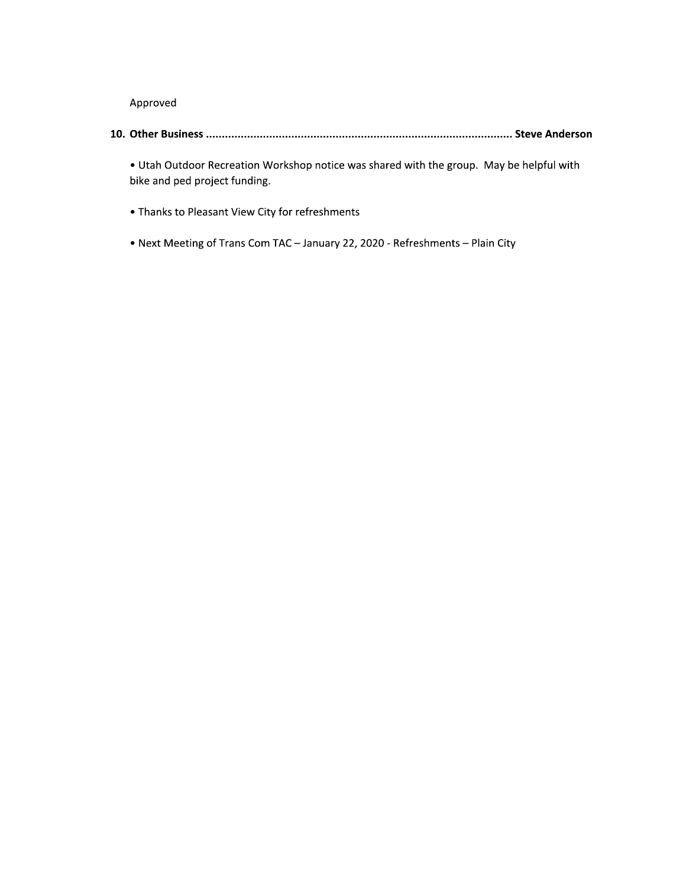Approved

. Utah Outdoor Recreation Workshop notice was shared with the group. May be helpful with bike and ped project funding.

- Thanks to Pleasant View City for refreshments
- . Next Meeting of Trans Com TAC January 22, 2020 Refreshments Plain City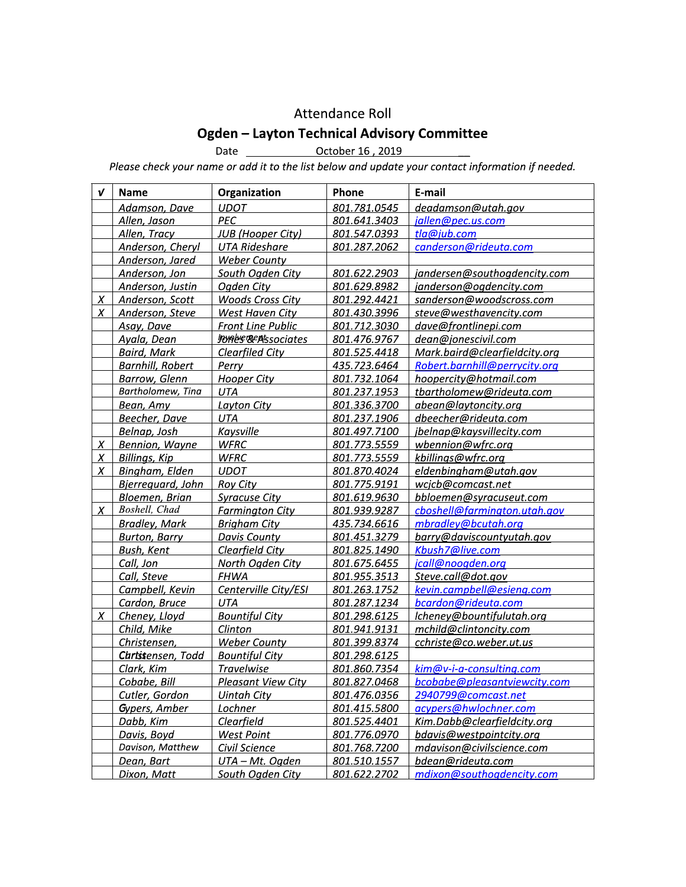## Attendance Roll

# **Ogden - Layton Technical Advisory Committee**

Date <u>Corober 16, 2019</u>

Please check your name or add it to the list below and update your contact information if needed.

| ν                | <b>Name</b>             | Organization              | Phone        | E-mail                        |
|------------------|-------------------------|---------------------------|--------------|-------------------------------|
|                  | Adamson, Dave           | <b>UDOT</b>               | 801.781.0545 | deadamson@utah.gov            |
|                  | Allen, Jason            | PEC                       | 801.641.3403 | jallen@pec.us.com             |
|                  | Allen, Tracy            | <b>JUB</b> (Hooper City)  | 801.547.0393 | tla@jub.com                   |
|                  | Anderson, Cheryl        | <b>UTA Rideshare</b>      | 801.287.2062 | canderson@rideuta.com         |
|                  | Anderson, Jared         | <b>Weber County</b>       |              |                               |
|                  | Anderson, Jon           | South Ogden City          | 801.622.2903 | jandersen@southogdencity.com  |
|                  | Anderson, Justin        | Ogden City                | 801.629.8982 | janderson@ogdencity.com       |
| $\boldsymbol{X}$ | Anderson, Scott         | <b>Woods Cross City</b>   | 801.292.4421 | sanderson@woodscross.com      |
| X                | Anderson, Steve         | West Haven City           | 801.430.3996 | steve@westhavencity.com       |
|                  | Asay, Dave              | <b>Front Line Public</b>  | 801.712.3030 | dave@frontlinepi.com          |
|                  | Ayala, Dean             | <b>JORES REASSOCIATES</b> | 801.476.9767 | dean@jonescivil.com           |
|                  | <b>Baird, Mark</b>      | <b>Clearfiled City</b>    | 801.525.4418 | Mark.baird@clearfieldcity.org |
|                  | <b>Barnhill, Robert</b> | Perry                     | 435.723.6464 | Robert.barnhill@perrycity.org |
|                  | <b>Barrow, Glenn</b>    | <b>Hooper City</b>        | 801.732.1064 | hoopercity@hotmail.com        |
|                  | Bartholomew, Tina       | UTA                       | 801.237.1953 | tbartholomew@rideuta.com      |
|                  | Bean, Amy               | <b>Layton City</b>        | 801.336.3700 | abean@laytoncity.org          |
|                  | Beecher, Dave           | UTA                       | 801.237.1906 | dbeecher@rideuta.com          |
|                  | Belnap, Josh            | <b>Kaysville</b>          | 801.497.7100 | jbelnap@kaysvillecity.com     |
| X                | Bennion, Wayne          | <b>WFRC</b>               | 801.773.5559 | wbennion@wfrc.org             |
| X                | Billings, Kip           | <b>WFRC</b>               | 801.773.5559 | kbillings@wfrc.org            |
| $\chi$           | Bingham, Elden          | <b>UDOT</b>               | 801.870.4024 | eldenbingham@utah.gov         |
|                  | Bjerreguard, John       | <b>Roy City</b>           | 801.775.9191 | wcjcb@comcast.net             |
|                  | Bloemen, Brian          | <b>Syracuse City</b>      | 801.619.9630 | bbloemen@syracuseut.com       |
| $\chi$           | Boshell, Chad           | <b>Farmington City</b>    | 801.939.9287 | cboshell@farmington.utah.gov  |
|                  | <b>Bradley, Mark</b>    | <b>Brigham City</b>       | 435.734.6616 | mbradley@bcutah.org           |
|                  | <b>Burton, Barry</b>    | Davis County              | 801.451.3279 | barry@daviscountyutah.gov     |
|                  | <b>Bush, Kent</b>       | Clearfield City           | 801.825.1490 | Kbush7@live.com               |
|                  | Call, Jon               | North Ogden City          | 801.675.6455 | jcall@noogden.org             |
|                  | Call, Steve             | <b>FHWA</b>               | 801.955.3513 | Steve.call@dot.gov            |
|                  | Campbell, Kevin         | Centerville City/ESI      | 801.263.1752 | kevin.campbell@esieng.com     |
|                  | Cardon, Bruce           | UTA                       | 801.287.1234 | bcardon@rideuta.com           |
| X                | Cheney, Lloyd           | <b>Bountiful City</b>     | 801.298.6125 | Icheney@bountifulutah.org     |
|                  | Child, Mike             | Clinton                   | 801.941.9131 | mchild@clintoncity.com        |
|                  | Christensen,            | <b>Weber County</b>       | 801.399.8374 | cchriste@co.weber.ut.us       |
|                  | Chrtssensen, Todd       | <b>Bountiful City</b>     | 801.298.6125 |                               |
|                  | Clark, Kim              | <b>Travelwise</b>         | 801.860.7354 | kim@v-i-a-consulting.com      |
|                  | Cobabe, Bill            | <b>Pleasant View City</b> | 801.827.0468 | bcobabe@pleasantviewcity.com  |
|                  | Cutler, Gordon          | <b>Uintah City</b>        | 801.476.0356 | 2940799@comcast.net           |
|                  | Gypers, Amber           | Lochner                   | 801.415.5800 | acypers@hwlochner.com         |
|                  | Dabb, Kim               | Clearfield                | 801.525.4401 | Kim.Dabb@clearfieldcity.org   |
|                  | Davis, Boyd             | <b>West Point</b>         | 801.776.0970 | bdavis@westpointcity.org      |
|                  | Davison, Matthew        | Civil Science             | 801.768.7200 | mdavison@civilscience.com     |
|                  | Dean, Bart              | UTA - Mt. Ogden           | 801.510.1557 | bdean@rideuta.com             |
|                  | Dixon, Matt             | South Ogden City          | 801.622.2702 | mdixon@southogdencity.com     |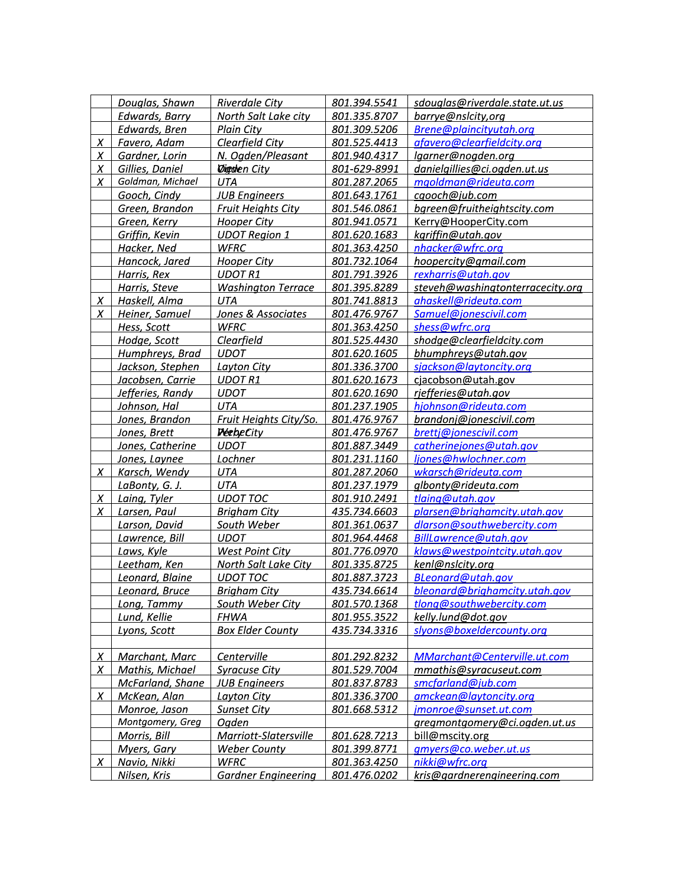|          | Douglas, Shawn        | <b>Riverdale City</b>             | 801.394.5541 | sdouglas@riverdale.state.ut.us   |
|----------|-----------------------|-----------------------------------|--------------|----------------------------------|
|          | <b>Edwards, Barry</b> | North Salt Lake city              | 801.335.8707 | barrye@nslcity,org               |
|          | Edwards, Bren         | Plain City                        | 801.309.5206 | Brene@plaincityutah.org          |
| $\chi$   | Favero, Adam          | Clearfield City                   | 801.525.4413 | afavero@clearfieldcity.org       |
| X        | Gardner, Lorin        | N. Ogden/Pleasant                 | 801.940.4317 | lgarner@nogden.org               |
| X        | Gillies, Daniel       | <b><i><u>Digolen City</u></i></b> | 801-629-8991 | danielgillies@ci.ogden.ut.us     |
| X        | Goldman, Michael      | UTA                               | 801.287.2065 | mgoldman@rideuta.com             |
|          | Gooch, Cindy          | <b>JUB Engineers</b>              | 801.643.1761 | cgooch@jub.com                   |
|          | Green, Brandon        | Fruit Heights City                | 801.546.0861 | bgreen@fruitheightscity.com      |
|          | Green, Kerry          | <b>Hooper City</b>                | 801.941.0571 | Kerry@HooperCity.com             |
|          | Griffin, Kevin        | <b>UDOT Region 1</b>              | 801.620.1683 | kgriffin@utah.gov                |
|          | Hacker, Ned           | <b>WFRC</b>                       | 801.363.4250 | nhacker@wfrc.org                 |
|          | Hancock, Jared        | Hooper City                       | 801.732.1064 | hoopercity@gmail.com             |
|          | Harris, Rex           | <b>UDOT R1</b>                    | 801.791.3926 | rexharris@utah.gov               |
|          | Harris, Steve         | <b>Washington Terrace</b>         | 801.395.8289 | steveh@washingtonterracecity.org |
| $\chi$   | Haskell, Alma         | <b>UTA</b>                        | 801.741.8813 | ahaskell@rideuta.com             |
| X        | Heiner, Samuel        | Jones & Associates                | 801.476.9767 | Samuel@jonescivil.com            |
|          | Hess, Scott           | WFRC                              | 801.363.4250 | shess@wfrc.org                   |
|          | Hodge, Scott          | <b>Clearfield</b>                 | 801.525.4430 | shodge@clearfieldcity.com        |
|          | Humphreys, Brad       | <b>UDOT</b>                       | 801.620.1605 | bhumphreys@utah.gov              |
|          | Jackson, Stephen      | Layton City                       | 801.336.3700 | sjackson@laytoncity.org          |
|          | Jacobsen, Carrie      | <b>UDOT R1</b>                    | 801.620.1673 | cjacobson@utah.gov               |
|          | Jefferies, Randy      | <b>UDOT</b>                       | 801.620.1690 | rjefferies@utah.gov              |
|          | Johnson, Hal          | <b>UTA</b>                        | 801.237.1905 | hjohnson@rideuta.com             |
|          | Jones, Brandon        | Fruit Heights City/So.            | 801.476.9767 | brandonj@jonescivil.com          |
|          | Jones, Brett          | <b>PeebeCity</b>                  | 801.476.9767 | brettj@jonescivil.com            |
|          | Jones, Catherine      | <b>UDOT</b>                       | 801.887.3449 | catherinejones@utah.gov          |
|          | Jones, Laynee         | Lochner                           | 801.231.1160 | ljones@hwlochner.com             |
| X        | Karsch, Wendy         | UTA                               | 801.287.2060 | wkarsch@rideuta.com              |
|          | LaBonty, G. J.        | UTA                               | 801.237.1979 | glbonty@rideuta.com              |
| X        | Laing, Tyler          | <b>UDOT TOC</b>                   | 801.910.2491 | tlaing@utah.gov                  |
| X        | Larsen, Paul          | <b>Brigham City</b>               | 435.734.6603 | plarsen@brighamcity.utah.gov     |
|          | Larson, David         | South Weber                       | 801.361.0637 | dlarson@southwebercity.com       |
|          | Lawrence, Bill        | <b>UDOT</b>                       | 801.964.4468 | BillLawrence@utah.gov            |
|          | Laws, Kyle            | <b>West Point City</b>            | 801.776.0970 | klaws@westpointcity.utah.gov     |
|          | Leetham, Ken          | North Salt Lake City              | 801.335.8725 | kenl@nslcity.org                 |
|          | Leonard, Blaine       | UDOT TOC                          | 801.887.3723 | BLeonard@utah.gov                |
|          | Leonard, Bruce        | Brigham City                      | 435.734.6614 | bleonard@brighamcity.utah.gov    |
|          | Long, Tammy           | South Weber City                  | 801.570.1368 | tlong@southwebercity.com         |
|          | Lund, Kellie          | <b>FHWA</b>                       | 801.955.3522 | kelly.lund@dot.gov               |
|          | Lyons, Scott          | <b>Box Elder County</b>           | 435.734.3316 | slyons@boxeldercounty.org        |
|          |                       |                                   |              |                                  |
| <u>x</u> | Marchant, Marc        | Centerville                       | 801.292.8232 | MMarchant@Centerville.ut.com     |
| X        | Mathis, Michael       | <b>Syracuse City</b>              | 801.529.7004 | mmathis@syracuseut.com           |
|          | McFarland, Shane      | <b>JUB Engineers</b>              | 801.837.8783 | smcfarland@jub.com               |
| X        | McKean, Alan          | Layton City                       | 801.336.3700 | amckean@laytoncity.org           |
|          | Monroe, Jason         | <b>Sunset City</b>                | 801.668.5312 | jmonroe@sunset.ut.com            |
|          | Montgomery, Greg      | Ogden                             |              | gregmontgomery@ci.ogden.ut.us    |
|          | Morris, Bill          | Marriott-Slatersville             | 801.628.7213 | bill@mscity.org                  |
|          | Myers, Gary           | <b>Weber County</b>               | 801.399.8771 | gmyers@co.weber.ut.us            |
| X        | Navio, Nikki          | <b>WFRC</b>                       | 801.363.4250 | nikki@wfrc.org                   |
|          | Nilsen, Kris          | <b>Gardner Engineering</b>        | 801.476.0202 | kris@gardnerengineering.com      |